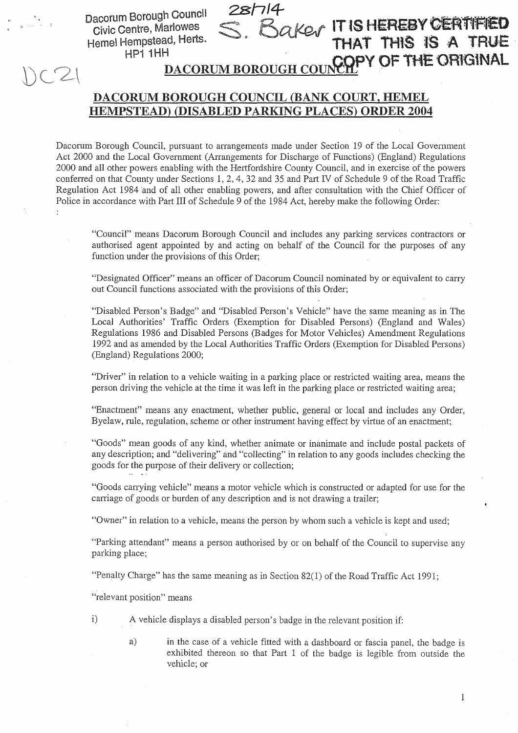Dacorum Borough Council **Civic Centre, Marlowes** Hemel Hempstead, Herts. HP1 1HH

**QKOV IT IS HEREBY CERTIFIED** THAT THIS IS A TRUE PY OF THE ORIGINAL **DACORUM BOROUGH COUN** 

## DACORUM BOROUGH COUNCIL (BANK COURT, HEMEL HEMPSTEAD) (DISABLED PARKING PLACES) ORDER 2004

Dacorum Borough Council, pursuant to arrangements made under Section 19 of the Local Government Act 2000 and the Local Government (Arrangements for Discharge of Functions) (England) Regulations 2000 and all other powers enabling with the Hertfordshire County Council, and in exercise of the powers conferred on that County under Sections 1, 2, 4, 32 and 35 and Part IV of Schedule 9 of the Road Traffic Regulation Act 1984 and of all other enabling powers, and after consultation with the Chief Officer of Police in accordance with Part III of Schedule 9 of the 1984 Act, hereby make the following Order: ÷

"Council" means Dacorum Borough Council and includes any parking services contractors or authorised agent appointed by and acting on behalf of the Council for the purposes of any function under the provisions of this Order;

"Designated Officer" means an officer of Dacorum Council nominated by or equivalent to carry out Council functions associated with the provisions of this Order;

"Disabled Person's Badge" and "Disabled Person's Vehicle" have the same meaning as in The Local Authorities' Traffic Orders (Exemption for Disabled Persons) (England and Wales) Regulations 1986 and Disabled Persons (Badges for Motor Vehicles) Amendment Regulations 1992 and as amended by the Local Authorities Traffic Orders (Exemption for Disabled Persons) (England) Regulations 2000;

"Driver" in relation to a vehicle waiting in a parking place or restricted waiting area, means the person driving the vehicle at the time it was left in the parking place or restricted waiting area;

"Enactment" means any enactment, whether public, general or local and includes any Order, Byelaw, rule, regulation, scheme or other instrument having effect by virtue of an enactment;

"Goods" mean goods of any kind, whether animate or inanimate and include postal packets of any description; and "delivering" and "collecting" in relation to any goods includes checking the goods for the purpose of their delivery or collection;

"Goods carrying vehicle" means a motor vehicle which is constructed or adapted for use for the carriage of goods or burden of any description and is not drawing a trailer;

"Owner" in relation to a vehicle, means the person by whom such a vehicle is kept and used;

"Parking attendant" means a person authorised by or on behalf of the Council to supervise any parking place;

"Penalty Charge" has the same meaning as in Section 82(1) of the Road Traffic Act 1991;

"relevant position" means

- $\mathbf{i}$ A vehicle displays a disabled person's badge in the relevant position if:
	- in the case of a vehicle fitted with a dashboard or fascia panel, the badge is  $a)$ exhibited thereon so that Part 1 of the badge is legible from outside the vehicle; or

 $\mathbf{1}$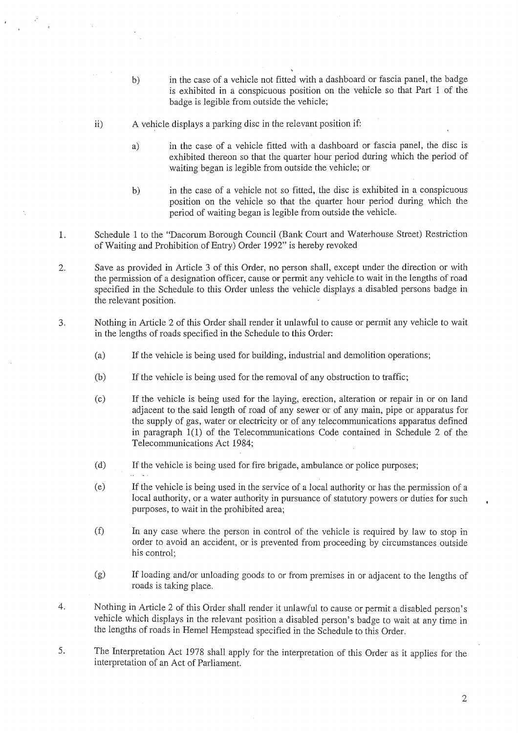- in the case of a vehicle not fitted with a dashboard or fascia panel, the badge  $b)$ is exhibited in a conspicuous position on the vehicle so that Part <sup>I</sup> of the badge is legible from outside the vehicle;
- ii) A vehicle displays a parking disc in the relevant position if:
	- a) in the case of a vehicle fitted with <sup>a</sup> dashboard or fascia panel, the disc is exhibited thereon so that the quarter hour period during which the period of waiting began is legible from outside the vehicle; or
	- b) in the case of a vehicle not so fitted, the disc is exhibited in a conspicuous position on the vehicle so that the quarter hour period during which the period of waiting began is legible from outside the vehicle.
- Schedule <sup>1</sup> to the "Dacorum Borough Council (Bank Court and Waterhouse Street) Restriction 1. of Waiting and Prohibition of Entry) Order 1992" is hereby revoked
- 2. Save as provided in Article 3 of this Order, no person shall, except under the direction or with the permission of a designation officer, cause or permit any vehicle to wait in the lengths of road specified in the Schedule to this Order unless the vehicle displays a disabled persons badge in the relevant position.
- 3 . Nothing in Article 2 of this Order shall render it unlawful to cause or permit any vehicle to wait in the lengths of roads specified in the Schedule to this Order:
	- (a) If the vehicle is being used for building, industrial and demolition operations ;
	- $(b)$  If the vehicle is being used for the removal of any obstruction to traffic;
	- $(c)$ If the vehicle is being used for the laying, erection, alteration or repair in or on land adjacent to the said length of road of any sewer or of any main, pipe or apparatus for the supply of gas, water or electricity or of any telecommunications apparatus defined in paragraph l(l) of the Telecommunications Code contained in Schedule 2 of the Telecommunications Act 1984;
	- (d) If the vehicle is being used for fire brigade, ambulance or police purposes;
	- $(e)$ If the vehicle is being used in the service of a local authority or has the permission of a local authority, or a water authority in pursuance of statutory powers or duties for such purposes, to wait in the prohibited area;
	- $(f)$ In any case where the person in control of the vehicle is required by law to stop in order to avoid an accident, or is prevented from proceeding by circumstances outside his control;
	- (g) If loading and/or unloading goods to or from premises in or adjacent to the lengths of roads is taking place.
- 4. Nothing in Article 2 of this Order shall render it unlawful to cause or permit a disabled person's vehicle which displays in the relevant position a disabled person's badge to wait at any time in the lengths of roads in Hemel Hempstead specified in the Schedule to this Order.
- 5. The Interpretation Act 1978 shall apply for the interpretation of this Order as it applies for the interpretation of an Act of Parliament.

 $\overline{2}$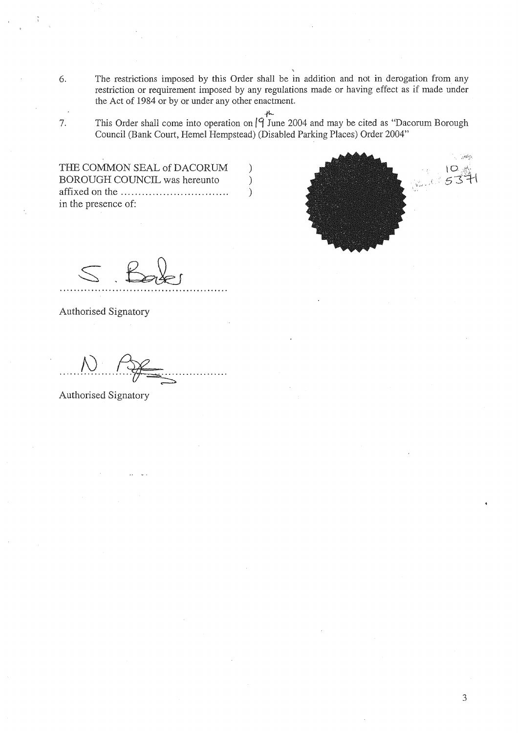- 6 . The restrictions imposed by this Order shall be in addition and not in derogation from any restriction or requirement imposed by any regulations made or having effect as if made under the Act of 1984 or by or under any other enactment.
- 7. This Order shall come into operation on  $\int_{0}^{\frac{1}{k}}$  June 2004 and may be cited as "Dacorum Borough Council (Bank Court, Hemel Hempstead) (Disabled Parking Places) Order 2004"

 $\mathcal{E}$  $\mathcal{E}$  $\mathcal{E}$ 

THE COMMON SEAL of DACORUM BOROUGH COUNCIL was hereunto affixed on the . . . . . . . . . . . . . . . . . . . . . . . . . . . . . . . in the presence of:

 $\sim$   $\mu$  $\overline{O}$ 

Authorised Signatory

Authorised Signatory

3